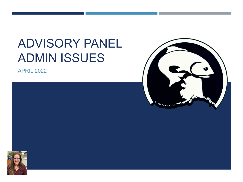# ADVISORY PANEL ADMIN ISSUES

APRIL 2022



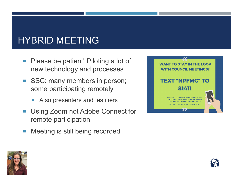#### HYBRID MEETING

- **Please be patient! Piloting a lot of** new technology and processes
- SSC: many members in person; some participating remotely
	- Also presenters and testifiers
- **Using Zoom not Adobe Connect for** remote participation
- **Meeting is still being recorded**





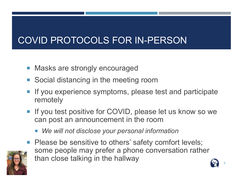#### COVID PROTOCOLS FOR IN-PERSON

- Masks are strongly encouraged
- Social distancing in the meeting room
- **If you experience symptoms, please test and participate** remotely
- **If you test positive for COVID, please let us know so we** can post an announcement in the room
	- *We will not disclose your personal information*
- **Please be sensitive to others' safety comfort levels;** some people may prefer a phone conversation rather than close talking in the hallway

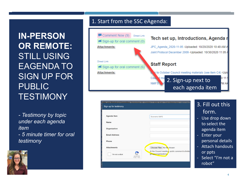**IN-PERSON OR REMOTE:** STILL USING EAGENDA TO SIGN UP FOR PUBLIC **TESTIMONY** 

*- Testimony by topic under each agenda item*  - *5 minute timer for oral testimony*



#### 1. Start from the SSC eAgenda:



| entific and Statistical Committee: September 28 - October 2, 2020, 8 am - 3 pm Alaska time – MEETING.<br>Sign up for testimony                              |                                                                                                                           | 3. Fill out this                                                                                                                                                               |
|-------------------------------------------------------------------------------------------------------------------------------------------------------------|---------------------------------------------------------------------------------------------------------------------------|--------------------------------------------------------------------------------------------------------------------------------------------------------------------------------|
| <b>Agenda Item</b><br><b>Name</b><br>Organization<br><b>Email Address</b><br>Phone<br><b>Attachments</b><br>I'm not a robot<br>reCAPTCHA<br>Privacy - Terms | Economic SAFE<br>Choose Files No file chosen<br>At the Council meeting, public comment is limite<br>groups/organizations. | form.<br>Use drop down<br>$\equiv$<br>to select the<br>agenda item<br>Enter your<br>٠.<br>personal details<br><b>Attach handouts</b><br>$\sim$<br>or ppts<br>Select "I'm not a |
|                                                                                                                                                             |                                                                                                                           | robot"                                                                                                                                                                         |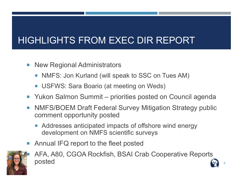#### HIGHLIGHTS FROM EXEC DIR REPORT

- **New Regional Administrators** 
	- NMFS: Jon Kurland (will speak to SSC on Tues AM)
	- USFWS: Sara Boario (at meeting on Weds)
- Yukon Salmon Summit priorities posted on Council agenda
- **NMFS/BOEM Draft Federal Survey Mitigation Strategy public** comment opportunity posted
	- Addresses anticipated impacts of offshore wind energy development on NMFS scientific surveys
- Annual IFQ report to the fleet posted



 AFA, A80, CGOA Rockfish, BSAI Crab Cooperative Reports  $\bullet$  posted  $\bullet$  5 and 3 and 3 and 3 and 3 and 3 and 3 and 3 and 3 and 3 and 3 and 3 and 3 and 3 and 3 and 3 and 3 and 3 and 3 and 3 and 3 and 3 and 3 and 3 and 3 and 3 and 3 and 3 and 3 and 3 and 3 and 3 and 3 and 3 and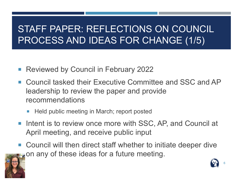#### STAFF PAPER: REFLECTIONS ON COUNCIL PROCESS AND IDEAS FOR CHANGE (1/5)

- Reviewed by Council in February 2022
- Council tasked their Executive Committee and SSC and AP leadership to review the paper and provide recommendations
	- **Held public meeting in March; report posted**
- **Intent is to review once more with SSC, AP, and Council at** April meeting, and receive public input
- Council will then direct staff whether to initiate deeper dive on any of these ideas for a future meeting.



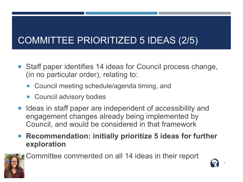#### COMMITTEE PRIORITIZED 5 IDEAS (2/5)

- Staff paper identifies 14 ideas for Council process change, (in no particular order), relating to:
	- Council meeting schedule/agenda timing, and
	- Council advisory bodies
- Ideas in staff paper are independent of accessibility and engagement changes already being implemented by Council, and would be considered in that framework
- Recommendation: initially prioritize 5 ideas for further **exploration**



Committee commented on all 14 ideas in their report

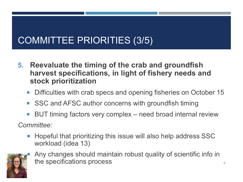#### COMMITTEE PRIORITIES (3/5)

- **5. Reevaluate the timing of the crab and groundfish harvest specifications, in light of fishery needs and stock prioritization**
	- Difficulties with crab specs and opening fisheries on October 15
	- SSC and AFSC author concerns with groundfish timing
	- BUT timing factors very complex need broad internal review

*Committee:*

 Hopeful that prioritizing this issue will also help address SSC workload (idea 13)



 Any changes should maintain robust quality of scientific info in the specifications process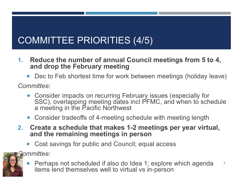### COMMITTEE PRIORITIES (4/5)

- **1. Reduce the number of annual Council meetings from 5 to 4, and drop the February meeting**
	- Dec to Feb shortest time for work between meetings (holiday leave)

*Committee:*

- Consider impacts on recurring February issues (especially for SSC), overlapping meeting dates incl PFMC, and when to schedule a meeting in the Pacific Northwest
- Consider tradeoffs of 4-meeting schedule with meeting length
- **2. Create a schedule that makes 1-2 meetings per year virtual, and the remaining meetings in person**
	- Cost savings for public and Council; equal access

*Committee:*



**Perhaps not scheduled if also do Idea 1; explore which agenda** items lend themselves well to virtual vs in-person 9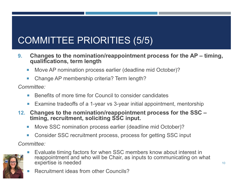## COMMITTEE PRIORITIES (5/5)

- **9. Changes to the nomination/reappointment process for the AP – timing, qualifications, term length**
	- Move AP nomination process earlier (deadline mid October)?
	- Change AP membership criteria? Term length?

*Committee:*

- Benefits of more time for Council to consider candidates
- Examine tradeoffs of a 1-year vs 3-year initial appointment, mentorship
- **12. Changes to the nomination/reappointment process for the SSC – timing, recruitment, soliciting SSC input.**
	- Move SSC nomination process earlier (deadline mid October)?
	- Consider SSC recruitment process, process for getting SSC input

*Committee:*



- Evaluate timing factors for when SSC members know about interest in reappointment and who will be Chair, as inputs to communicating on what expertise is needed
	- Recruitment ideas from other Councils?